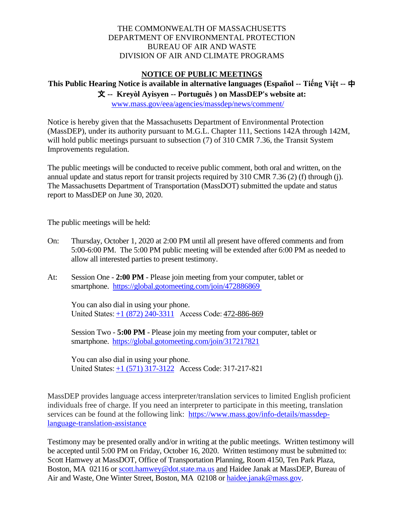## THE COMMONWEALTH OF MASSACHUSETTS DEPARTMENT OF ENVIRONMENTAL PROTECTION BUREAU OF AIR AND WASTE DIVISION OF AIR AND CLIMATE PROGRAMS

## **NOTICE OF PUBLIC MEETINGS**

## 文 **-- Kreyòl Ayisyen -- Português ) on MassDEP's website at: This Public Hearing Notice is available in alternative languages (Español -- Tiếng Việt --** 中

[www.mass.gov/eea/agencies/massdep/news/comment/](http://www.mass.gov/eea/agencies/massdep/news/comment/) 

Notice is hereby given that the Massachusetts Department of Environmental Protection (MassDEP), under its authority pursuant to M.G.L. Chapter 111, Sections 142A through 142M, will hold public meetings pursuant to subsection (7) of 310 CMR 7.36, the Transit System Improvements regulation.

 The public meetings will be conducted to receive public comment, both oral and written, on the annual update and status report for transit projects required by 310 CMR 7.36 (2) (f) through (j). The Massachusetts Department of Transportation (MassDOT) submitted the update and status report to MassDEP on June 30, 2020.

The public meetings will be held:

- On: Thursday, October 1, 2020 at 2:00 PM until all present have offered comments and from 5:00-6:00 PM. The 5:00 PM public meeting will be extended after 6:00 PM as needed to allow all interested parties to present testimony.
- At: Session One **2:00 PM**  Please join meeting from your computer, tablet or smartphone. https://global.gotomeeting.com/join/472886869

 You can also dial in using your phone. United States:  $\pm 1$  (872) 240-3311 Access Code: 472-886-869

 Session Two - **5:00 PM** - Please join my meeting from your computer, tablet or smartphone.<https://global.gotomeeting.com/join/317217821>

   You can also dial in using your phone. United States:  $\frac{+1}{571}$  317-3122 Access Code: 317-217-821

services can be found at the following link: [https://www.mass.gov/info-details/massdep-](https://www.mass.gov/info-details/massdep-language-translation-assistance)MassDEP provides language access interpreter/translation services to limited English proficient individuals free of charge. If you need an interpreter to participate in this meeting, translation [language-translation-assistance](https://www.mass.gov/info-details/massdep-language-translation-assistance) 

 Testimony may be presented orally and/or in writing at the public meetings. Written testimony will be accepted until 5:00 PM on Friday, October 16, 2020. Written testimony must be submitted to: Scott Hamwey at MassDOT, Office of Transportation Planning, Room 4150, Ten Park Plaza, Boston, MA 02116 or [scott.hamwey@dot.state.ma.us](mailto:scott.hamwey@dot.state.ma.us) and Haidee Janak at MassDEP, Bureau of Air and Waste, One Winter Street, Boston, MA 02108 or **haidee.janak@mass.[gov.](mailto:haidee.janak@mass.gov)**